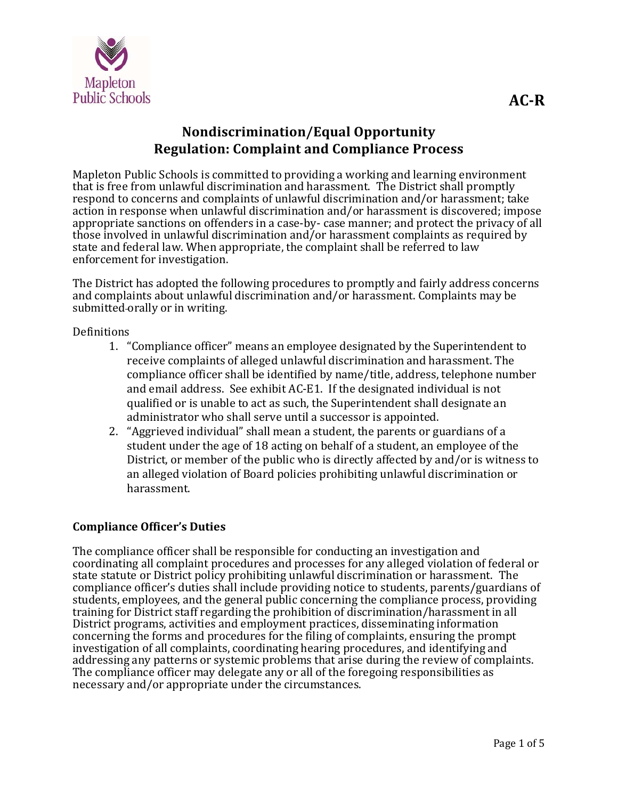

# **Nondiscrimination/Equal Opportunity Regulation: Complaint and Compliance Process**

Mapleton Public Schools is committed to providing a working and learning environment that is free from unlawful discrimination and harassment. The District shall promptly respond to concerns and complaints of unlawful discrimination and/or harassment; take action in response when unlawful discrimination and/or harassment is discovered; impose appropriate sanctions on offenders in a case-by- case manner; and protect the privacy of all those involved in unlawful discrimination and/or harassment complaints as required by state and federal law. When appropriate, the complaint shall be referred to law enforcement for investigation.

The District has adopted the following procedures to promptly and fairly address concerns and complaints about unlawful discrimination and/or harassment. Complaints may be submitted orally or in writing.

## Definitions

- 1. "Compliance officer" means an employee designated by the Superintendent to receive complaints of alleged unlawful discrimination and harassment. The compliance officer shall be identified by name/title, address, telephone number and email address. See exhibit AC-E1. If the designated individual is not qualified or is unable to act as such, the Superintendent shall designate an administrator who shall serve until a successor is appointed.
- 2. "Aggrieved individual" shall mean a student, the parents or guardians of a student under the age of 18 acting on behalf of a student, an employee of the District, or member of the public who is directly affected by and/or is witness to an alleged violation of Board policies prohibiting unlawful discrimination or harassment.

# **Compliance Officer's Duties**

The compliance officer shall be responsible for conducting an investigation and coordinating all complaint procedures and processes for any alleged violation of federal or state statute or District policy prohibiting unlawful discrimination or harassment. The compliance officer's duties shall include providing notice to students, parents/guardians of students, employees, and the general public concerning the compliance process, providing training for District staff regarding the prohibition of discrimination/harassment in all District programs, activities and employment practices, disseminating information concerning the forms and procedures for the filing of complaints, ensuring the prompt investigation of all complaints, coordinating hearing procedures, and identifying and addressing any patterns or systemic problems that arise during the review of complaints. The compliance officer may delegate any or all of the foregoing responsibilities as necessary and/or appropriate under the circumstances.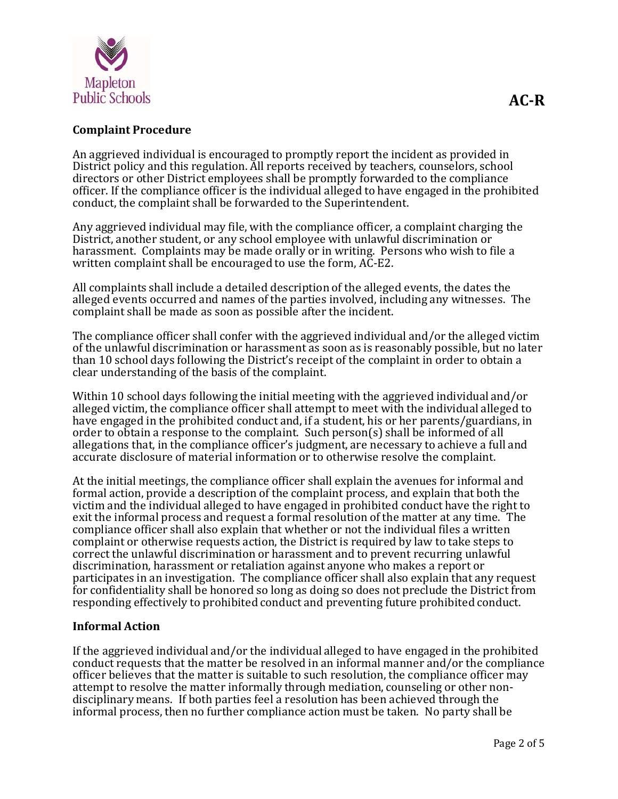

# **Complaint Procedure**

An aggrieved individual is encouraged to promptly report the incident as provided in District policy and this regulation. All reports received by teachers, counselors, school directors or other District employees shall be promptly forwarded to the compliance officer. If the compliance officer is the individual alleged to have engaged in the prohibited conduct, the complaint shall be forwarded to the Superintendent.

Any aggrieved individual may file, with the compliance officer, a complaint charging the District, another student, or any school employee with unlawful discrimination or harassment. Complaints may be made orally or in writing. Persons who wish to file a written complaint shall be encouraged to use the form, AC-E2.

All complaints shall include a detailed description of the alleged events, the dates the alleged events occurred and names of the parties involved, including any witnesses. The complaint shall be made as soon as possible after the incident.

The compliance officer shall confer with the aggrieved individual and/or the alleged victim of the unlawful discrimination or harassment as soon as is reasonably possible, but no later than 10 school days following the District's receipt of the complaint in order to obtain a clear understanding of the basis of the complaint.

Within 10 school days following the initial meeting with the aggrieved individual and/or alleged victim, the compliance officer shall attempt to meet with the individual alleged to have engaged in the prohibited conduct and, if a student, his or her parents/guardians, in order to obtain a response to the complaint. Such person(s) shall be informed of all allegations that, in the compliance officer's judgment, are necessary to achieve a full and accurate disclosure of material information or to otherwise resolve the complaint.

At the initial meetings, the compliance officer shall explain the avenues for informal and formal action, provide a description of the complaint process, and explain that both the victim and the individual alleged to have engaged in prohibited conduct have the right to exit the informal process and request a formal resolution of the matter at any time. The compliance officer shall also explain that whether or not the individual files a written complaint or otherwise requests action, the District is required by law to take steps to correct the unlawful discrimination or harassment and to prevent recurring unlawful discrimination, harassment or retaliation against anyone who makes a report or participates in an investigation. The compliance officer shall also explain that any request for confidentiality shall be honored so long as doing so does not preclude the District from responding effectively to prohibited conduct and preventing future prohibited conduct.

#### **Informal Action**

If the aggrieved individual and/or the individual alleged to have engaged in the prohibited conduct requests that the matter be resolved in an informal manner and/or the compliance officer believes that the matter is suitable to such resolution, the compliance officer may attempt to resolve the matter informally through mediation, counseling or other nondisciplinary means. If both parties feel a resolution has been achieved through the informal process, then no further compliance action must be taken. No party shall be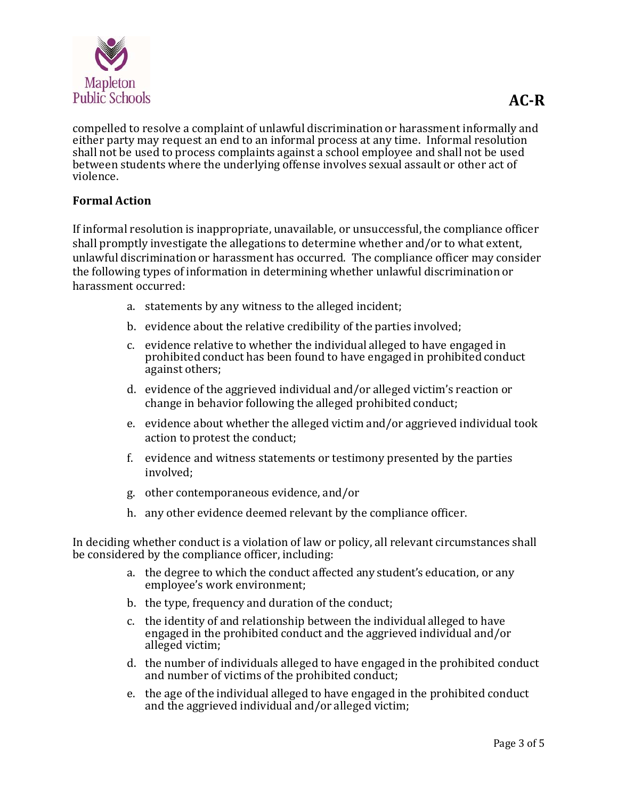

compelled to resolve a complaint of unlawful discrimination or harassment informally and either party may request an end to an informal process at any time. Informal resolution shall not be used to process complaints against a school employee and shall not be used between students where the underlying offense involves sexual assault or other act of violence. 

## **Formal Action**

If informal resolution is inappropriate, unavailable, or unsuccessful, the compliance officer shall promptly investigate the allegations to determine whether and/or to what extent, unlawful discrimination or harassment has occurred. The compliance officer may consider the following types of information in determining whether unlawful discrimination or harassment occurred:

- a. statements by any witness to the alleged incident:
- b. evidence about the relative credibility of the parties involved;
- c. evidence relative to whether the individual alleged to have engaged in prohibited conduct has been found to have engaged in prohibited conduct against others;
- d. evidence of the aggrieved individual and/or alleged victim's reaction or change in behavior following the alleged prohibited conduct;
- e. evidence about whether the alleged victim and/or aggrieved individual took action to protest the conduct;
- f. evidence and witness statements or testimony presented by the parties involved;
- g. other contemporaneous evidence, and/or
- h. any other evidence deemed relevant by the compliance officer.

In deciding whether conduct is a violation of law or policy, all relevant circumstances shall be considered by the compliance officer, including:

- a. the degree to which the conduct affected any student's education, or any employee's work environment;
- b. the type, frequency and duration of the conduct;
- c. the identity of and relationship between the individual alleged to have engaged in the prohibited conduct and the aggrieved individual and/or alleged victim;
- d. the number of individuals alleged to have engaged in the prohibited conduct and number of victims of the prohibited conduct;
- e. the age of the individual alleged to have engaged in the prohibited conduct and the aggrieved individual and/or alleged victim;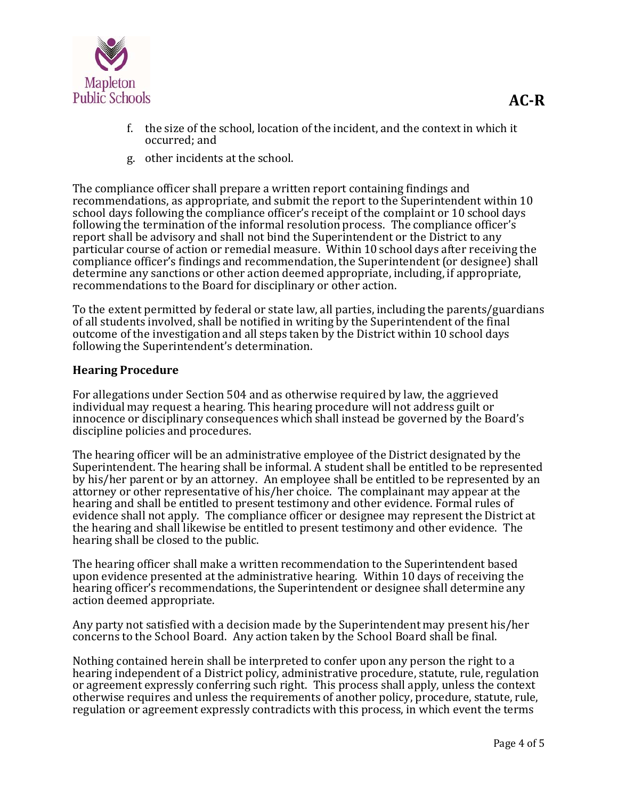

g. other incidents at the school.

The compliance officer shall prepare a written report containing findings and recommendations, as appropriate, and submit the report to the Superintendent within 10 school days following the compliance officer's receipt of the complaint or 10 school days following the termination of the informal resolution process. The compliance officer's report shall be advisory and shall not bind the Superintendent or the District to any particular course of action or remedial measure. Within 10 school days after receiving the compliance officer's findings and recommendation, the Superintendent (or designee) shall determine any sanctions or other action deemed appropriate, including, if appropriate, recommendations to the Board for disciplinary or other action.

To the extent permitted by federal or state law, all parties, including the parents/guardians of all students involved, shall be notified in writing by the Superintendent of the final outcome of the investigation and all steps taken by the District within 10 school days following the Superintendent's determination.

# **Hearing Procedure**

For allegations under Section 504 and as otherwise required by law, the aggrieved individual may request a hearing. This hearing procedure will not address guilt or innocence or disciplinary consequences which shall instead be governed by the Board's discipline policies and procedures.

The hearing officer will be an administrative employee of the District designated by the Superintendent. The hearing shall be informal. A student shall be entitled to be represented by his/her parent or by an attorney. An employee shall be entitled to be represented by an attorney or other representative of his/her choice. The complainant may appear at the hearing and shall be entitled to present testimony and other evidence. Formal rules of evidence shall not apply. The compliance officer or designee may represent the District at the hearing and shall likewise be entitled to present testimony and other evidence. The hearing shall be closed to the public.

The hearing officer shall make a written recommendation to the Superintendent based upon evidence presented at the administrative hearing. Within 10 days of receiving the hearing officer's recommendations, the Superintendent or designee shall determine any action deemed appropriate. 

Any party not satisfied with a decision made by the Superintendent may present his/her concerns to the School Board. Any action taken by the School Board shall be final.

Nothing contained herein shall be interpreted to confer upon any person the right to a hearing independent of a District policy, administrative procedure, statute, rule, regulation or agreement expressly conferring such right. This process shall apply, unless the context otherwise requires and unless the requirements of another policy, procedure, statute, rule, regulation or agreement expressly contradicts with this process, in which event the terms